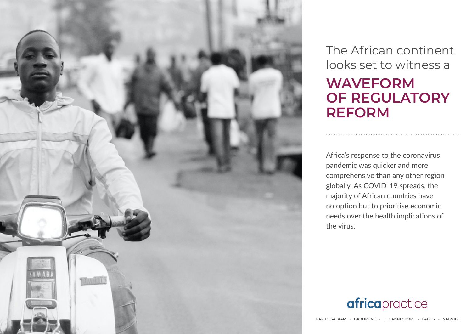

The African continent looks set to witness a

# **waveform of regulatory reform**

Africa's response to the coronavirus pandemic was quicker and more comprehensive than any other region globally. As COVID-19 spreads, the majority of African countries have no option but to prioritise economic needs over the health implications of the virus.

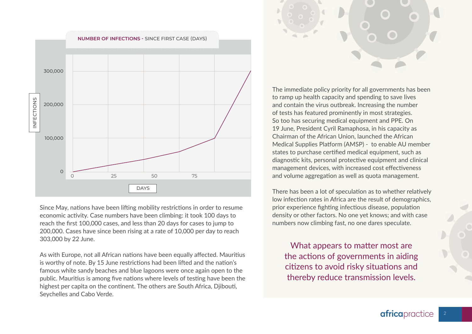

Since May, nations have been lifting mobility restrictions in order to resume economic activity. Case numbers have been climbing: it took 100 days to reach the first 100,000 cases, and less than 20 days for cases to jump to 200,000. Cases have since been rising at a rate of 10,000 per day to reach 303,000 by 22 June.

As with Europe, not all African nations have been equally affected. Mauritius is worthy of note. By 15 June restrictions had been lifted and the nation's famous white sandy beaches and blue lagoons were once again open to the public. Mauritius is among five nations where levels of testing have been the highest per capita on the continent. The others are South Africa, Djibouti, Seychelles and Cabo Verde.



The immediate policy priority for all governments has been to ramp up health capacity and spending to save lives and contain the virus outbreak. Increasing the number of tests has featured prominently in most strategies. So too has securing medical equipment and PPE. On 19 June, President Cyril Ramaphosa, in his capacity as Chairman of the African Union, launched the African Medical Supplies Platform (AMSP) - to enable AU member states to purchase certified medical equipment, such as diagnostic kits, personal protective equipment and clinical management devices, with increased cost effectiveness and volume aggregation as well as quota management.

There has been a lot of speculation as to whether relatively low infection rates in Africa are the result of demographics, prior experience fighting infectious disease, population density or other factors. No one yet knows; and with case numbers now climbing fast, no one dares speculate.

What appears to matter most are the actions of governments in aiding citizens to avoid risky situations and thereby reduce transmission levels.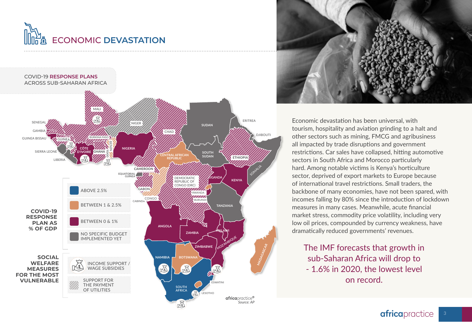# Economic **devastation**





Economic devastation has been universal, with tourism, hospitality and aviation grinding to a halt and other sectors such as mining, FMCG and agribusiness all impacted by trade disruptions and government restrictions. Car sales have collapsed, hitting automotive sectors in South Africa and Morocco particularly hard. Among notable victims is Kenya's horticulture sector, deprived of export markets to Europe because of international travel restrictions. Small traders, the backbone of many economies, have not been spared, with incomes falling by 80% since the introduction of lockdown measures in many cases. Meanwhile, acute financial market stress, commodity price volatility, including very low oil prices, compounded by currency weakness, have dramatically reduced governments' revenues.

The IMF forecasts that growth in sub-Saharan Africa will drop to - 1.6% in 2020, the lowest level on record.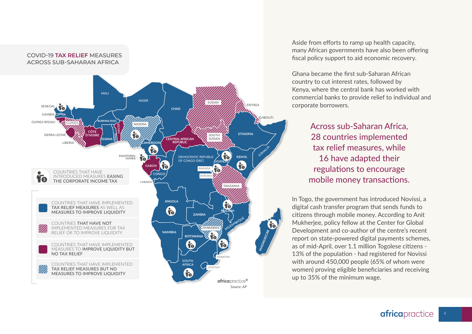

Aside from efforts to ramp up health capacity, many African governments have also been offering fiscal policy support to aid economic recovery.

Ghana became the first sub-Saharan African country to cut interest rates, followed by Kenya, where the central bank has worked with commercial banks to provide relief to individual and corporate borrowers.

> Across sub-Saharan Africa, 28 countries implemented tax relief measures, while 16 have adapted their regulations to encourage mobile money transactions.

In Togo, the government has introduced Novissi, a digital cash transfer program that sends funds to citizens through mobile money. According to Anit Mukherjee, policy fellow at the Center for Global Development and co-author of the centre's recent report on state-powered digital payments schemes, as of mid-April, over 1.1 million Togolese citizens - 13% of the population - had registered for Novissi with around 450,000 people (65% of whom were women) proving eligible beneficiaries and receiving up to 35% of the minimum wage.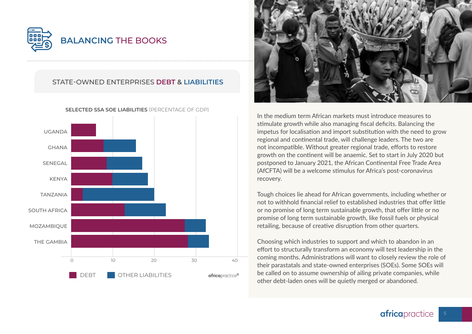

## State-owned enterprises **debt & liabilities**



**SELECTED SSA SOE LIABILITIES** (PERCENTAGE OF GDP)



In the medium term African markets must introduce measures to stimulate growth while also managing fiscal deficits. Balancing the impetus for localisation and import substitution with the need to grow regional and continental trade, will challenge leaders. The two are not incompatible. Without greater regional trade, efforts to restore growth on the continent will be anaemic. Set to start in July 2020 but postponed to January 2021, the African Continental Free Trade Area (AfCFTA) will be a welcome stimulus for Africa's post-coronavirus recovery.

Tough choices lie ahead for African governments, including whether or not to withhold financial relief to established industries that offer little or no promise of long term sustainable growth, that offer little or no promise of long term sustainable growth, like fossil fuels or physical retailing, because of creative disruption from other quarters.

Choosing which industries to support and which to abandon in an effort to structurally transform an economy will test leadership in the coming months. Administrations will want to closely review the role of their parastatals and state-owned enterprises (SOEs). Some SOEs will be called on to assume ownership of ailing private companies, while other debt-laden ones will be quietly merged or abandoned.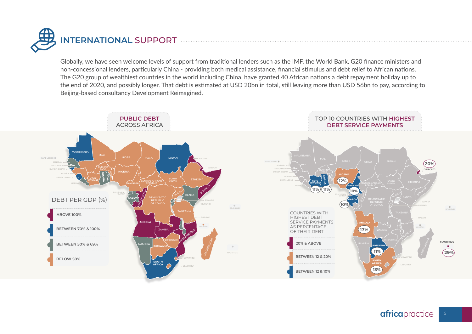

Globally, we have seen welcome levels of support from traditional lenders such as the IMF, the World Bank, G20 finance ministers and non-concessional lenders, particularly China - providing both medical assistance, financial stimulus and debt relief to African nations. The G20 group of wealthiest countries in the world including China, have granted 40 African nations a debt repayment holiday up to the end of 2020, and possibly longer. That debt is estimated at USD 20bn in total, still leaving more than USD 56bn to pay, according to Beijing-based consultancy Development Reimagined.

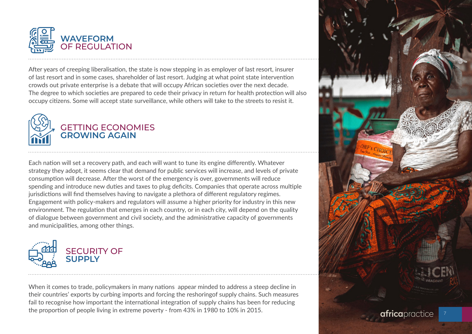

After years of creeping liberalisation, the state is now stepping in as employer of last resort, insurer of last resort and in some cases, shareholder of last resort. Judging at what point state intervention crowds out private enterprise is a debate that will occupy African societies over the next decade. The degree to which societies are prepared to cede their privacy in return for health protection will also occupy citizens. Some will accept state surveillance, while others will take to the streets to resist it.



Each nation will set a recovery path, and each will want to tune its engine differently. Whatever strategy they adopt, it seems clear that demand for public services will increase, and levels of private consumption will decrease. After the worst of the emergency is over, governments will reduce spending and introduce new duties and taxes to plug deficits. Companies that operate across multiple jurisdictions will find themselves having to navigate a plethora of different regulatory regimes. Engagement with policy-makers and regulators will assume a higher priority for industry in this new environment. The regulation that emerges in each country, or in each city, will depend on the quality of dialogue between government and civil society, and the administrative capacity of governments and municipalities, among other things.



When it comes to trade, policymakers in many nations appear minded to address a steep decline in their countries' exports by curbing imports and forcing the reshoringof supply chains. Such measures fail to recognise how important the international integration of supply chains has been for reducing the proportion of people living in extreme poverty - from 43% in 1980 to 10% in 2015.